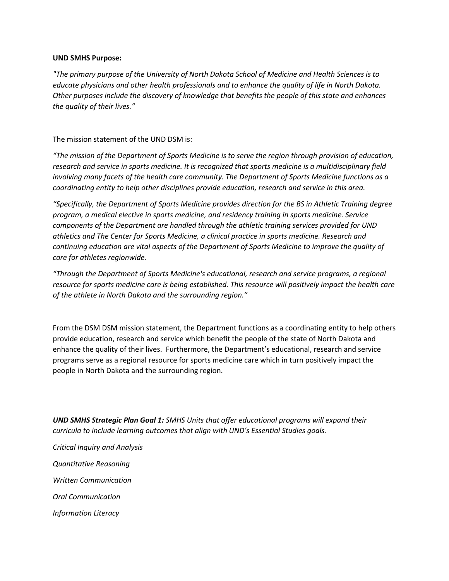## **UND SMHS Purpose:**

*"The primary purpose of the University of North Dakota School of Medicine and Health Sciences is to educate physicians and other health professionals and to enhance the quality of life in North Dakota. Other purposes include the discovery of knowledge that benefits the people of this state and enhances the quality of their lives."*

The mission statement of the UND DSM is:

*"The mission of the Department of Sports Medicine is to serve the region through provision of education, research and service in sports medicine. It is recognized that sports medicine is a multidisciplinary field involving many facets of the health care community. The Department of Sports Medicine functions as a coordinating entity to help other disciplines provide education, research and service in this area.*

*"Specifically, the Department of Sports Medicine provides direction for the BS in Athletic Training degree program, a medical elective in sports medicine, and residency training in sports medicine. Service components of the Department are handled through the athletic training services provided for UND athletics and The Center for Sports Medicine, a clinical practice in sports medicine. Research and continuing education are vital aspects of the Department of Sports Medicine to improve the quality of care for athletes regionwide.*

*"Through the Department of Sports Medicine's educational, research and service programs, a regional resource for sports medicine care is being established. This resource will positively impact the health care of the athlete in North Dakota and the surrounding region."*

From the DSM DSM mission statement, the Department functions as a coordinating entity to help others provide education, research and service which benefit the people of the state of North Dakota and enhance the quality of their lives. Furthermore, the Department's educational, research and service programs serve as a regional resource for sports medicine care which in turn positively impact the people in North Dakota and the surrounding region.

*UND SMHS Strategic Plan Goal 1: SMHS Units that offer educational programs will expand their curricula to include learning outcomes that align with UND's Essential Studies goals.*

*Critical Inquiry and Analysis Quantitative Reasoning Written Communication Oral Communication Information Literacy*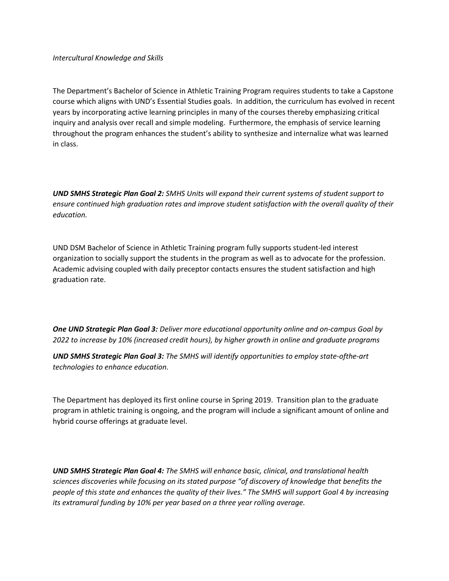The Department's Bachelor of Science in Athletic Training Program requires students to take a Capstone course which aligns with UND's Essential Studies goals. In addition, the curriculum has evolved in recent years by incorporating active learning principles in many of the courses thereby emphasizing critical inquiry and analysis over recall and simple modeling. Furthermore, the emphasis of service learning throughout the program enhances the student's ability to synthesize and internalize what was learned in class.

*UND SMHS Strategic Plan Goal 2: SMHS Units will expand their current systems of student support to ensure continued high graduation rates and improve student satisfaction with the overall quality of their education.*

UND DSM Bachelor of Science in Athletic Training program fully supports student-led interest organization to socially support the students in the program as well as to advocate for the profession. Academic advising coupled with daily preceptor contacts ensures the student satisfaction and high graduation rate.

*One UND Strategic Plan Goal 3: Deliver more educational opportunity online and on-campus Goal by 2022 to increase by 10% (increased credit hours), by higher growth in online and graduate programs*

*UND SMHS Strategic Plan Goal 3: The SMHS will identify opportunities to employ state-ofthe-art technologies to enhance education.*

The Department has deployed its first online course in Spring 2019. Transition plan to the graduate program in athletic training is ongoing, and the program will include a significant amount of online and hybrid course offerings at graduate level.

*UND SMHS Strategic Plan Goal 4: The SMHS will enhance basic, clinical, and translational health sciences discoveries while focusing on its stated purpose "of discovery of knowledge that benefits the people of this state and enhances the quality of their lives." The SMHS will support Goal 4 by increasing its extramural funding by 10% per year based on a three year rolling average.*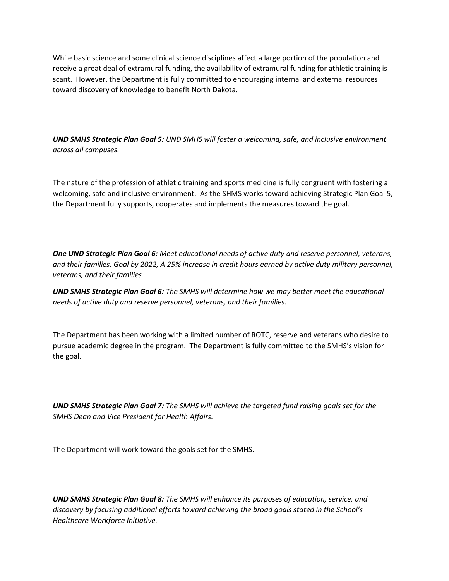While basic science and some clinical science disciplines affect a large portion of the population and receive a great deal of extramural funding, the availability of extramural funding for athletic training is scant. However, the Department is fully committed to encouraging internal and external resources toward discovery of knowledge to benefit North Dakota.

*UND SMHS Strategic Plan Goal 5: UND SMHS will foster a welcoming, safe, and inclusive environment across all campuses.*

The nature of the profession of athletic training and sports medicine is fully congruent with fostering a welcoming, safe and inclusive environment. As the SHMS works toward achieving Strategic Plan Goal 5, the Department fully supports, cooperates and implements the measures toward the goal.

*One UND Strategic Plan Goal 6: Meet educational needs of active duty and reserve personnel, veterans, and their families. Goal by 2022, A 25% increase in credit hours earned by active duty military personnel, veterans, and their families*

*UND SMHS Strategic Plan Goal 6: The SMHS will determine how we may better meet the educational needs of active duty and reserve personnel, veterans, and their families.*

The Department has been working with a limited number of ROTC, reserve and veterans who desire to pursue academic degree in the program. The Department is fully committed to the SMHS's vision for the goal.

*UND SMHS Strategic Plan Goal 7: The SMHS will achieve the targeted fund raising goals set for the SMHS Dean and Vice President for Health Affairs.*

The Department will work toward the goals set for the SMHS.

*UND SMHS Strategic Plan Goal 8: The SMHS will enhance its purposes of education, service, and discovery by focusing additional efforts toward achieving the broad goals stated in the School's Healthcare Workforce Initiative.*